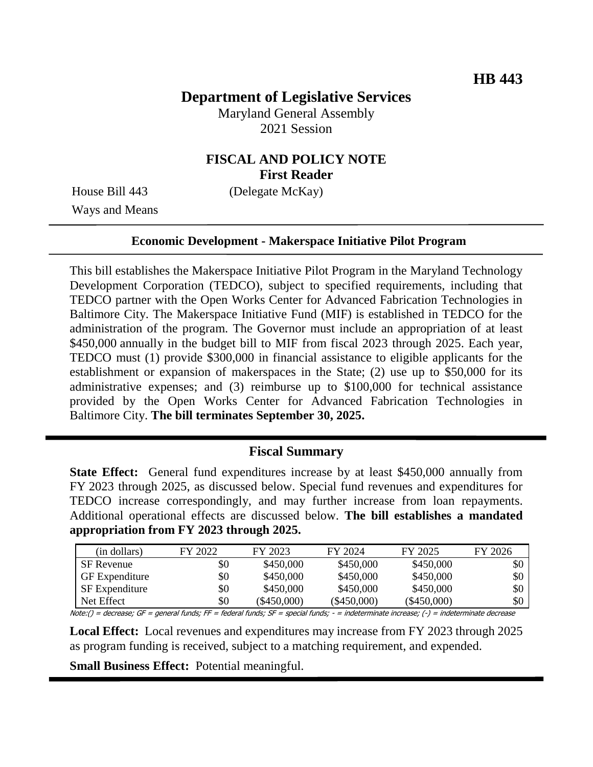# **Department of Legislative Services**

Maryland General Assembly 2021 Session

## **FISCAL AND POLICY NOTE First Reader**

House Bill 443 (Delegate McKay)

Ways and Means

#### **Economic Development - Makerspace Initiative Pilot Program**

This bill establishes the Makerspace Initiative Pilot Program in the Maryland Technology Development Corporation (TEDCO), subject to specified requirements, including that TEDCO partner with the Open Works Center for Advanced Fabrication Technologies in Baltimore City. The Makerspace Initiative Fund (MIF) is established in TEDCO for the administration of the program. The Governor must include an appropriation of at least \$450,000 annually in the budget bill to MIF from fiscal 2023 through 2025. Each year, TEDCO must (1) provide \$300,000 in financial assistance to eligible applicants for the establishment or expansion of makerspaces in the State; (2) use up to \$50,000 for its administrative expenses; and (3) reimburse up to \$100,000 for technical assistance provided by the Open Works Center for Advanced Fabrication Technologies in Baltimore City. **The bill terminates September 30, 2025.** 

### **Fiscal Summary**

**State Effect:** General fund expenditures increase by at least \$450,000 annually from FY 2023 through 2025, as discussed below. Special fund revenues and expenditures for TEDCO increase correspondingly, and may further increase from loan repayments. Additional operational effects are discussed below. **The bill establishes a mandated appropriation from FY 2023 through 2025.**

| (in dollars)          | FY 2022 | FY 2023       | FY 2024       | FY 2025       | FY 2026 |
|-----------------------|---------|---------------|---------------|---------------|---------|
| <b>SF</b> Revenue     | \$0     | \$450,000     | \$450,000     | \$450,000     | \$0     |
| <b>GF</b> Expenditure | \$0     | \$450,000     | \$450,000     | \$450,000     | \$0     |
| <b>SF</b> Expenditure | \$0     | \$450,000     | \$450,000     | \$450,000     | \$0     |
| Net Effect            | \$0     | $(\$450,000)$ | $(\$450,000)$ | $(\$450,000)$ | \$0     |

Note:() = decrease; GF = general funds; FF = federal funds; SF = special funds; - = indeterminate increase; (-) = indeterminate decrease

**Local Effect:** Local revenues and expenditures may increase from FY 2023 through 2025 as program funding is received, subject to a matching requirement, and expended.

**Small Business Effect:** Potential meaningful.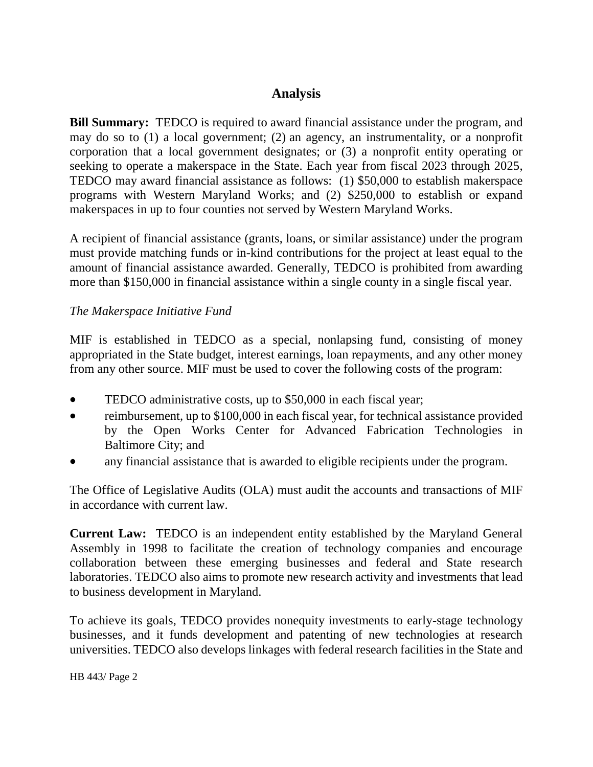### **Analysis**

**Bill Summary:** TEDCO is required to award financial assistance under the program, and may do so to (1) a local government; (2) an agency, an instrumentality, or a nonprofit corporation that a local government designates; or (3) a nonprofit entity operating or seeking to operate a makerspace in the State. Each year from fiscal 2023 through 2025, TEDCO may award financial assistance as follows: (1) \$50,000 to establish makerspace programs with Western Maryland Works; and (2) \$250,000 to establish or expand makerspaces in up to four counties not served by Western Maryland Works.

A recipient of financial assistance (grants, loans, or similar assistance) under the program must provide matching funds or in-kind contributions for the project at least equal to the amount of financial assistance awarded. Generally, TEDCO is prohibited from awarding more than \$150,000 in financial assistance within a single county in a single fiscal year.

### *The Makerspace Initiative Fund*

MIF is established in TEDCO as a special, nonlapsing fund, consisting of money appropriated in the State budget, interest earnings, loan repayments, and any other money from any other source. MIF must be used to cover the following costs of the program:

- TEDCO administrative costs, up to \$50,000 in each fiscal year;
- reimbursement, up to \$100,000 in each fiscal year, for technical assistance provided by the Open Works Center for Advanced Fabrication Technologies in Baltimore City; and
- any financial assistance that is awarded to eligible recipients under the program.

The Office of Legislative Audits (OLA) must audit the accounts and transactions of MIF in accordance with current law.

**Current Law:** TEDCO is an independent entity established by the Maryland General Assembly in 1998 to facilitate the creation of technology companies and encourage collaboration between these emerging businesses and federal and State research laboratories. TEDCO also aims to promote new research activity and investments that lead to business development in Maryland.

To achieve its goals, TEDCO provides nonequity investments to early-stage technology businesses, and it funds development and patenting of new technologies at research universities. TEDCO also develops linkages with federal research facilities in the State and

HB 443/ Page 2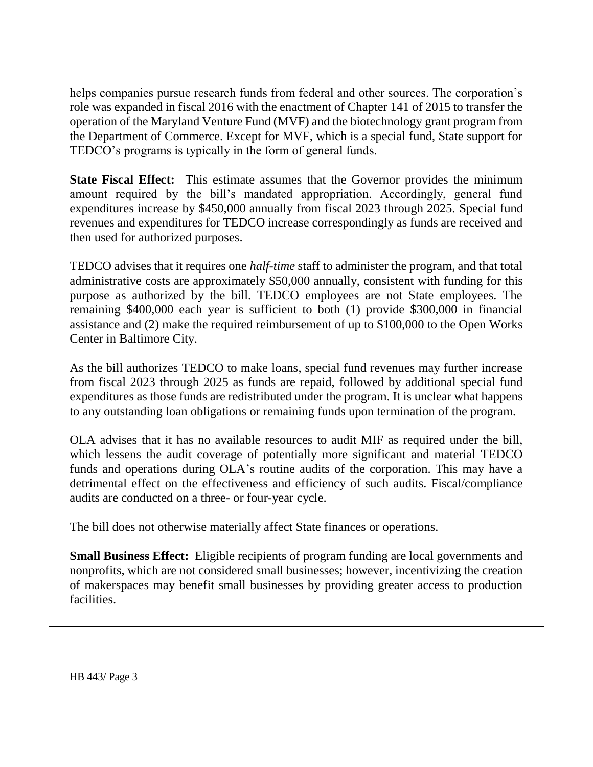helps companies pursue research funds from federal and other sources. The corporation's role was expanded in fiscal 2016 with the enactment of Chapter 141 of 2015 to transfer the operation of the Maryland Venture Fund (MVF) and the biotechnology grant program from the Department of Commerce. Except for MVF, which is a special fund, State support for TEDCO's programs is typically in the form of general funds.

**State Fiscal Effect:** This estimate assumes that the Governor provides the minimum amount required by the bill's mandated appropriation. Accordingly, general fund expenditures increase by \$450,000 annually from fiscal 2023 through 2025. Special fund revenues and expenditures for TEDCO increase correspondingly as funds are received and then used for authorized purposes.

TEDCO advises that it requires one *half-time* staff to administer the program, and that total administrative costs are approximately \$50,000 annually, consistent with funding for this purpose as authorized by the bill. TEDCO employees are not State employees. The remaining \$400,000 each year is sufficient to both (1) provide \$300,000 in financial assistance and (2) make the required reimbursement of up to \$100,000 to the Open Works Center in Baltimore City.

As the bill authorizes TEDCO to make loans, special fund revenues may further increase from fiscal 2023 through 2025 as funds are repaid, followed by additional special fund expenditures as those funds are redistributed under the program. It is unclear what happens to any outstanding loan obligations or remaining funds upon termination of the program.

OLA advises that it has no available resources to audit MIF as required under the bill, which lessens the audit coverage of potentially more significant and material TEDCO funds and operations during OLA's routine audits of the corporation. This may have a detrimental effect on the effectiveness and efficiency of such audits. Fiscal/compliance audits are conducted on a three- or four-year cycle.

The bill does not otherwise materially affect State finances or operations.

**Small Business Effect:** Eligible recipients of program funding are local governments and nonprofits, which are not considered small businesses; however, incentivizing the creation of makerspaces may benefit small businesses by providing greater access to production facilities.